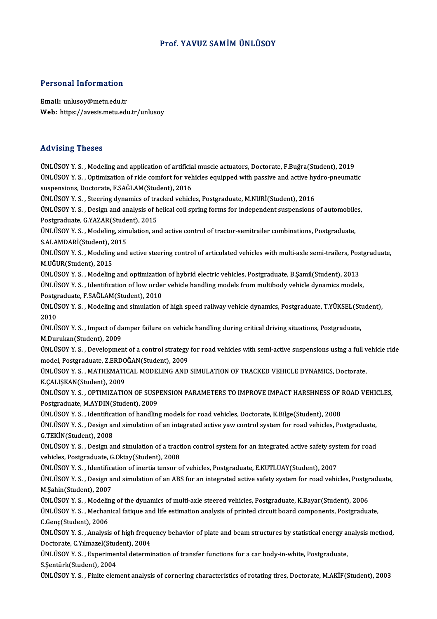# Prof. YAVUZ SAMİMÜNLÜSOY

# Personal Information

Email: unlusoy@metu.edu.tr Web: https://avesis.metu.edu.tr/unlusoy

## Advising Theses

ÜNLÜSOY Y. S., Modeling and application of artificial muscle actuators, Doctorate, F.Buğra(Student), 2019 TERVIONS TRODOO<br>ÜNLÜSOY Y. S. , Modeling and application of artificial muscle actuators, Doctorate, F.Buğra(Student), 2019<br>ÜNLÜSOY Y. S. , Optimization of ride comfort for vehicles equipped with passive and active hydro-pn suspensions, Doctorate, F.SAĞLAM(Student), 2016 ÜNLÜSOY Y. S. , Optimization of ride comfort for vehicles equipped with passive and active hy<br>suspensions, Doctorate, F.SAĞLAM(Student), 2016<br>ÜNLÜSOY Y. S. , Steering dynamics of tracked vehicles, Postgraduate, M.NURİ(Stud suspensions, Doctorate, F.SAĞLAM(Student), 2016<br>ÜNLÜSOY Y. S. , Steering dynamics of tracked vehicles, Postgraduate, M.NURİ(Student), 2016<br>ÜNLÜSOY Y. S. , Design and analysis of helical coil spring forms for independent su ÜNLÜSOY Y. S. , Steering dynamics of tracked vehicles, Postgraduate, M.NURİ(Student), 2016<br>ÜNLÜSOY Y. S. , Design and analysis of helical coil spring forms for independent suspensions of automobile<br>Postgraduate, G.YAZAR(St ÜNLÜSOY Y. S. , Design and analysis of helical coil spring forms for independent suspensions of automobile<br>Postgraduate, G.YAZAR(Student), 2015<br>ÜNLÜSOY Y. S. , Modeling, simulation, and active control of tractor-semitraile Postgraduate, G.YAZAR(Student), 2015<br>ÜNLÜSOY Y. S. , Modeling, simulation, ar<br>S.ALAMDARİ(Student), 2015 ÜNLÜSOY Y. S. , Modeling, simulation, and active control of tractor-semitrailer combinations, Postgraduate,<br>S.ALAMDARİ(Student), 2015<br>ÜNLÜSOY Y. S. , Modeling and active steering control of articulated vehicles with multi-S.ALAMDARİ(Student), 2<br>ÜNLÜSOY Y. S. , Modeling<br>M.UĞUR(Student), 2015<br>ÜNLÜSOY Y. S. Modeling ÜNLÜSOY Y. S. , Modeling and active steering control of articulated vehicles with multi-axle semi-trailers, Pos<br>M.UĞUR(Student), 2015<br>ÜNLÜSOY Y. S. , Modeling and optimization of hybrid electric vehicles, Postgraduate, B.Ş M.UĞUR(Student), 2015<br>ÜNLÜSOY Y. S. , Modeling and optimization of hybrid electric vehicles, Postgraduate, B.Şamil(Student), 2013<br>ÜNLÜSOY Y. S. , Identification of low order vehicle handling models from multibody vehicle d Postgraduate,F.SAĞLAM(Student),2010 ÜNLÜSOY Y. S. , Identification of low order vehicle handling models from multibody vehicle dynamics models,<br>Postgraduate, F.SAĞLAM(Student), 2010<br>ÜNLÜSOY Y. S. , Modeling and simulation of high speed railway vehicle dynami Post<mark>gi</mark><br>ÜNLÜ:<br>2010<br>ÜNLÜ: ÜNLÜSOY Y. S. , Modeling and simulation of high speed railway vehicle dynamics, Postgraduate, T.YÜKSEL(St:<br>2010<br>ÜNLÜSOY Y. S. , Impact of damper failure on vehicle handling during critical driving situations, Postgraduate, 2010<br>ÜNLÜSOY Y. S. , Impact of damper failure on vehicle handling during critical driving situations, Postgraduate,<br>M.Durukan(Student), 2009 ÜNLÜSOY Y. S. , Impact of damper failure on vehicle handling during critical driving situations, Postgraduate,<br>M.Durukan(Student), 2009<br>ÜNLÜSOY Y. S. , Development of a control strategy for road vehicles with semi-active s M.Durukan(Student), 2009<br>ÜNLÜSOY Y. S. , Development of a control strategy<br>model, Postgraduate, Z.ERDOĞAN(Student), 2009<br>ÜNLÜSOY Y. S., MATHEMATICAL MODELING AND ÜNLÜSOY Y. S. , Development of a control strategy for road vehicles with semi-active suspensions using a full v<br>model, Postgraduate, Z.ERDOĞAN(Student), 2009<br>ÜNLÜSOY Y. S. , MATHEMATICAL MODELING AND SIMULATION OF TRACKED model, Postgraduate, Z.ERDOĞAN(Student), 2009<br>ÜNLÜSOY Y. S. , MATHEMATICAL MODELING AND SIMULATION OF TRACKED VEHICLE DYNAMICS, Doctorate,<br>K.ÇALIŞKAN(Student), 2009 ÜNLÜSOY Y. S., MATHEMATICAL MODELING AND SIMULATION OF TRACKED VEHICLE DYNAMICS, Doctorate,<br>K.ÇALIŞKAN(Student), 2009<br>ÜNLÜSOY Y. S., OPTIMIZATION OF SUSPENSION PARAMETERS TO IMPROVE IMPACT HARSHNESS OF ROAD VEHICLES,<br>Posts K.ÇALIŞKAN(Student), 2009<br>ÜNLÜSOY Y. S. , OPTIMIZATION OF SUSP<br>Postgraduate, M.AYDIN(Student), 2009<br>ÜNLÜSOY Y. S., Identification of bandlin ÜNLÜSOY Y. S. , OPTIMIZATION OF SUSPENSION PARAMETERS TO IMPROVE IMPACT HARSHNESS OF I<br>Postgraduate, M.AYDIN(Student), 2009<br>ÜNLÜSOY Y. S. , Identification of handling models for road vehicles, Doctorate, K.Bilge(Student), Postgraduate, M.AYDIN(Student), 2009<br>ÜNLÜSOY Y. S. , Identification of handling models for road vehicles, Doctorate, K.Bilge(Student), 2008<br>ÜNLÜSOY Y. S. , Design and simulation of an integrated active yaw control system f ÜNLÜSOY Y. S. , Identifica<br>ÜNLÜSOY Y. S. , Design ar<br>G.TEKİN(Student), 2008<br>ÜNLÜSOV Y. S., Design ar ÜNLÜSOY Y. S. , Design and simulation of an integrated active yaw control system for road vehicles, Postgraduate,<br>G.TEKİN(Student), 2008<br>ÜNLÜSOY Y. S. , Design and simulation of a traction control system for an integrated G.TEKİN(Student), 2008<br>ÜNLÜSOY Y. S. , Design and simulation of a tract<br>vehicles, Postgraduate, G.Oktay(Student), 2008<br>ÜNLÜSOY Y. S., Identification of inertia tenser e ÜNLÜSOY Y. S. , Design and simulation of a traction control system for an integrated active safety systemicles, Postgraduate, G.Oktay(Student), 2008<br>ÜNLÜSOY Y. S. , Identification of inertia tensor of vehicles, Postgraduat vehicles, Postgraduate, G.Oktay(Student), 2008<br>ÜNLÜSOY Y. S. , Identification of inertia tensor of vehicles, Postgraduate, E.KUTLUAY(Student), 2007<br>ÜNLÜSOY Y. S. , Design and simulation of an ABS for an integrated active s ÜNLÜSOY Y. S. , Identifica<br>ÜNLÜSOY Y. S. , Design a<br>M.Şahin(Student), 2007<br>ÜNLÜSOY Y. S. Modeling ÜNLÜSOY Y.S. , Design and simulation of an ABS for an integrated active safety system for road vehicles, Postgr<br>M.Şahin(Student), 2007<br>ÜNLÜSOY Y.S. , Modeling of the dynamics of multi-axle steered vehicles, Postgraduate, K M.Şahin(Student), 2007<br>ÜNLÜSOY Y. S. , Modeling of the dynamics of multi-axle steered vehicles, Postgraduate, K.Bayar(Student), 2006<br>ÜNLÜSOY Y. S. , Mechanical fatique and life estimation analysis of printed circuit board ÜNLÜSOY Y. S., Modeling of the dynamics of multi-axle steered vehicles, Postgraduate, K.Bayar(Student), 2006 ÜNLÜSOY Y. S. , Mechanical fatique and life estimation analysis of printed circuit board components, Postgraduate,<br>C.Genç(Student), 2006<br>ÜNLÜSOY Y. S. , Analysis of high frequency behavior of plate and beam structures by s C.Genç(Student), 2006<br>ÜNLÜSOY Y. S. , Analysis of high frequ<br>Doctorate, C.Yılmazel(Student), 2004<br>ÜNLÜSOY Y. S., Evnorimental determi ÜNLÜSOY Y. S. , Analysis of high frequency behavior of plate and beam structures by statistical energy an<br>Doctorate, C.Yılmazel(Student), 2004<br>ÜNLÜSOY Y. S. , Experimental determination of transfer functions for a car body Doctorate, C.Yılmazel(Stud<br>ÜNLÜSOY Y. S. , Experimer<br>S.Şentürk(Student), 2004<br>ÜNLÜSOY Y. S., Einite elen ÜNLÜSOY Y. S. , Experimental determination of transfer functions for a car body-in-white, Postgraduate,<br>S.Şentürk(Student), 2004<br>ÜNLÜSOY Y. S. , Finite element analysis of cornering characteristics of rotating tires, Docto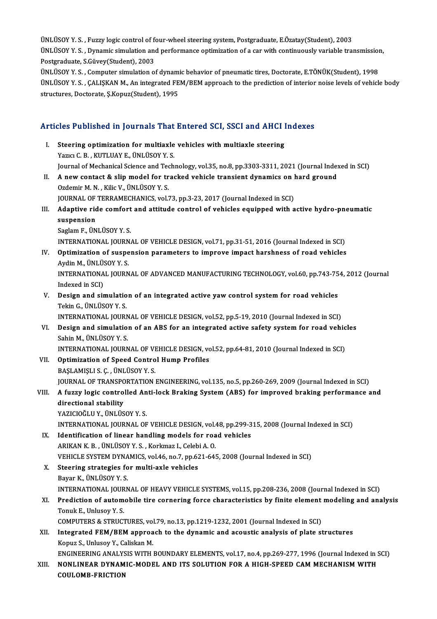ÜNLÜSOY Y. S. , Fuzzy logic control of four-wheel steering system, Postgraduate, E.Özatay(Student), 2003<br>UNLÜSOY Y. S. , Fuzzy logic control of four-wheel steering system, Postgraduate, E.Özatay(Student), 2003 ÜNLÜSOY Y. S. , Fuzzy logic control of four-wheel steering system, Postgraduate, E.Özatay(Student), 2003<br>ÜNLÜSOY Y. S. , Dynamic simulation and performance optimization of a car with continuously variable transmission, UNLUSOY Y. S. , Fuzzy logic control of fo<br>UNLUSOY Y. S. , Dynamic simulation and<br>Postgraduate, S.Güvey(Student), 2003<br>UNLUSOV Y. S., Computer simulation o ÜNLÜSOY Y. S. , Dynamic simulation and performance optimization of a car with continuously variable transmission<br>Postgraduate, S.Güvey(Student), 2003<br>ÜNLÜSOY Y. S. , Computer simulation of dynamic behavior of pneumatic tir

Postgraduate, S.Güvey(Student), 2003<br>ÜNLÜSOY Y. S. , Computer simulation of dynamic behavior of pneumatic tires, Doctorate, E.TÖNÜK(Student), 1998<br>ÜNLÜSOY Y. S. , ÇALIŞKAN M., An integrated FEM/BEM approach to the predicti ÜNLÜSOY Y. S., Computer simulation of dynamic behavior of pneumatic tires, Doctorate, E.TÖNÜK(Student), 1998

# structures, Doctorate, 5.Kopuz(Student), 1995<br>Articles Published in Journals That Entered SCI, SSCI and AHCI Indexes

- rticles Published in Journals That Entered SCI, SSCI and AHCI I<br>I. Steering optimization for multiaxle vehicles with multiaxle steering<br>Name C.B., KUTH HAVE, UNITISOV V.S. I. Steering optimization for multiaxle vehicles with multiaxle steering Yazıcı C.B., KUTLUAY E., ÜNLÜSOY Y.S. Steering optimization for multiaxle vehicles with multiaxle steering<br>Yazıcı C. B. , KUTLUAY E., ÜNLÜSOY Y. S.<br>Journal of Mechanical Science and Technology, vol.35, no.8, pp.3303-3311, 2021 (Journal Indexed in SCI)<br>A new se Yazıcı C. B. , KUTLUAY E., ÜNLÜSOY Y. S.<br>Journal of Mechanical Science and Technology, vol.35, no.8, pp.3303-3311, 2021 (Journal Index<br>II. A new contact & slip model for tracked vehicle transient dynamics on hard ground<br>Or Journal of Mechanical Science and Teo<br>A new contact & slip model for tr<br>Ozdemir M. N. , Kilic V., ÜNLÜSOY Y. S.<br>JOUPNAL OF TERRAMECHANICS vel A new contact & slip model for tracked vehicle transient dynamics on l<br>Ozdemir M. N. , Kilic V., ÜNLÜSOY Y. S.<br>JOURNAL OF TERRAMECHANICS, vol.73, pp.3-23, 2017 (Journal Indexed in SCI)<br>Adaptive ride comfort and ettitude co Ozdemir M. N. , Kilic V., ÜNLÜSOY Y. S.<br>JOURNAL OF TERRAMECHANICS, vol.73, pp.3-23, 2017 (Journal Indexed in SCI)<br>III. Adaptive ride comfort and attitude control of vehicles equipped with active hydro-pneumatic<br>augmention **JOURNAL OF<br>Adaptive rid<br>suspension**<br>Soglam E. ÜN Adaptive ride comfort<br>suspension<br>Saglam F., ÜNLÜSOY Y. S.<br>INTERNATIONAL JOURN. suspension<br>Saglam F., ÜNLÜSOY Y. S.<br>INTERNATIONAL JOURNAL OF VEHICLE DESIGN, vol.71, pp.31-51, 2016 (Journal Indexed in SCI)<br>Ontimization of suspension parameters to improve impact barshpess of road vehicles
- Saglam F., ÜNLÜSOY Y. S.<br>INTERNATIONAL JOURNAL OF VEHICLE DESIGN, vol.71, pp.31-51, 2016 (Journal Indexed in SCI)<br>IV. Optimization of suspension parameters to improve impact harshness of road vehicles<br>Aydin M., ÜNLÜSOY Y. INTERNATIONAL JOURN<br>Optimization of suspe<br>Aydin M., ÜNLÜSOY Y. S.<br>INTERNATIONAL JOURN Optimization of suspension parameters to improve impact harshness of road vehicles<br>Aydin M., ÜNLÜSOY Y. S.<br>INTERNATIONAL JOURNAL OF ADVANCED MANUFACTURING TECHNOLOGY, vol.60, pp.743-754, 2012 (Journal<br>Indeved in SCD. Aydin M., ÜNLÜ:<br>INTERNATIONA<br>Indexed in SCI)<br>Dosian and sit INTERNATIONAL JOURNAL OF ADVANCED MANUFACTURING TECHNOLOGY, vol.60, pp.743-75<br>Indexed in SCI)<br>V. Design and simulation of an integrated active yaw control system for road vehicles<br>Telsin C. UNI USOV V. S.
- Indexed in SCI)<br>Design and simulatio<br>Tekin G., ÜNLÜSOY Y. S.<br>INTERNATIONAL JOURI Design and simulation of an integrated active yaw control system for road vehicles<br>Tekin G., ÜNLÜSOY Y. S.<br>INTERNATIONAL JOURNAL OF VEHICLE DESIGN, vol.52, pp.5-19, 2010 (Journal Indexed in SCI)<br>Design and simulation of an
- Tekin G., ÜNLÜSOY Y. S.<br>INTERNATIONAL JOURNAL OF VEHICLE DESIGN, vol.52, pp.5-19, 2010 (Journal Indexed in SCI)<br>VI. Design and simulation of an ABS for an integrated active safety system for road vehicles<br>Sahin M., ÜNLÜSOY INTERNATIONAL JOURN<br>Design and simulatio:<br>Sahin M., ÜNLÜSOY Y. S.<br>INTERNATIONAL JOURN Design and simulation of an ABS for an integrated active safety system for road vehic<br>Sahin M., ÜNLÜSOY Y. S.<br>INTERNATIONAL JOURNAL OF VEHICLE DESIGN, vol.52, pp.64-81, 2010 (Journal Indexed in SCI)<br>Ontimination of Speed C VI . Optimization of Speed Control Hump Profiles
- INTERNATIONAL JOURNAL OF VI<br>Optimization of Speed Contro<br>BAŞLAMIŞLI S. Ç. , ÜNLÜSOY Y. S.<br>JOURNAL OF TRANSPORTATION Optimization of Speed Control Hump Profiles<br>BAŞLAMIŞLI S. Ç. , ÜNLÜSOY Y. S.<br>JOURNAL OF TRANSPORTATION ENGINEERING, vol.135, no.5, pp.260-269, 2009 (Journal Indexed in SCI)<br>A fuggy logie sontrolled Anti-leek Braking System BAŞLAMIŞLI S. Ç. , ÜNLÜSOY Y. S.<br>JOURNAL OF TRANSPORTATION ENGINEERING, vol.135, no.5, pp.260-269, 2009 (Journal Indexed in SCI)<br>VIII. A fuzzy logic controlled Anti-lock Braking System (ABS) for improved braking perform

**JOURNAL OF TRANSPO**<br>**A fuzzy logic control**<br>directional stability<br>YAZICIOČI U.V. UNI US YAZICIOĞLU Y., ÜNLÜSOY Y. S. directional stability<br>YAZICIOĞLU Y., ÜNLÜSOY Y. S.<br>INTERNATIONAL JOURNAL OF VEHICLE DESIGN, vol.48, pp.299-315, 2008 (Journal Indexed in SCI)<br>Identification of linear bandling models for road vehicles

- IX. Identification of linear handling models for road vehicles<br>ARIKAN K.B., ÜNLÜSOY Y.S., Korkmaz I., Celebi A.O. INTERNATIONAL JOURNAL OF VEHICLE DESIGN, vol.4<br>Identification of linear handling models for roa<br>ARIKAN K. B. , ÜNLÜSOY Y. S. , Korkmaz I., Celebi A. O.<br>VEHICLE SVSTEM DYNAMICS vol.46 no.7 nn.621.641 Identification of linear handling models for road vehicles<br>ARIKAN K. B. , ÜNLÜSOY Y. S. , Korkmaz I., Celebi A. O.<br>VEHICLE SYSTEM DYNAMICS, vol.46, no.7, pp.621-645, 2008 (Journal Indexed in SCI)<br>Steering strategies for mu
- X. Steering strategies for multi-axle vehicles VEHICLE SYSTEM DYNA<br>Steering strategies fo<br>Bayar K., ÜNLÜSOY Y. S.<br>INTERNATIONAL JOURN INTERNATIONAL JOURNALOFHEAVYVEHICLESYSTEMS,vol.15,pp.208-236,2008 (Journal Indexed inSCI) Bayar K., ÜNLÜSOY Y. S.<br>INTERNATIONAL JOURNAL OF HEAVY VEHICLE SYSTEMS, vol.15, pp.208-236, 2008 (Journal Indexed in SCI)<br>XI. Prediction of automobile tire cornering force characteristics by finite element modeling and ana
- INTERNATIONAL JOUR<br>Prediction of autom<br>Tonuk E., Unlusoy Y. S.<br>COMBUTERS & STRUCT Prediction of automobile tire cornering force characteristics by finite element<br>Tonuk E., Unlusoy Y. S.<br>COMPUTERS & STRUCTURES, vol.79, no.13, pp.1219-1232, 2001 (Journal Indexed in SCI)<br>Integrated FEM (PEM approach to the
- Tonuk E., Unlusoy Y. S.<br>COMPUTERS & STRUCTURES, vol.79, no.13, pp.1219-1232, 2001 (Journal Indexed in SCI)<br>XII. Integrated FEM/BEM approach to the dynamic and acoustic analysis of plate structures<br>Konya S. Unlusov Y. Colis COMPUTERS & STRUCTURES, vol<br>Integrated FEM/BEM approa<br>Kopuz S., Unlusoy Y., Caliskan M.<br>ENCINEEPINC ANALYSIS WITH Integrated FEM/BEM approach to the dynamic and acoustic analysis of plate structures<br>Kopuz S., Unlusoy Y., Caliskan M.<br>ENGINEERING ANALYSIS WITH BOUNDARY ELEMENTS, vol.17, no.4, pp.269-277, 1996 (Journal Indexed in SCI)<br>NO

Kopuz S., Unlusoy Y., Caliskan M.<br>ENGINEERING ANALYSIS WITH BOUNDARY ELEMENTS, vol.17, no.4, pp.269-277, 1996 (Journal Indexed in S.<br>XIII. NONLINEAR DYNAMIC-MODEL AND ITS SOLUTION FOR A HIGH-SPEED CAM MECHANISM WITH ENGINEERING ANALYS<br>NONLINEAR DYNAM<br>COULOMB-FRICTION